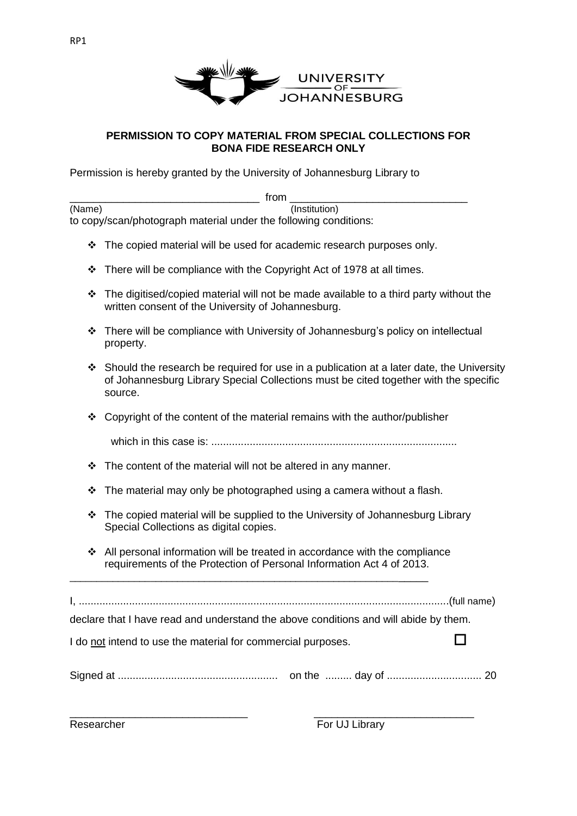

## **PERMISSION TO COPY MATERIAL FROM SPECIAL COLLECTIONS FOR BONA FIDE RESEARCH ONLY**

Permission is hereby granted by the University of Johannesburg Library to

|        | from                                                                                                                                                                                        |
|--------|---------------------------------------------------------------------------------------------------------------------------------------------------------------------------------------------|
| (Name) | (Institution)                                                                                                                                                                               |
|        | to copy/scan/photograph material under the following conditions:                                                                                                                            |
| ❖      | The copied material will be used for academic research purposes only.                                                                                                                       |
| ❖      | There will be compliance with the Copyright Act of 1978 at all times.                                                                                                                       |
| ❖      | The digitised/copied material will not be made available to a third party without the<br>written consent of the University of Johannesburg.                                                 |
| ❖      | There will be compliance with University of Johannesburg's policy on intellectual<br>property.                                                                                              |
| ❖      | Should the research be required for use in a publication at a later date, the University<br>of Johannesburg Library Special Collections must be cited together with the specific<br>source. |
| ❖      | Copyright of the content of the material remains with the author/publisher                                                                                                                  |
|        |                                                                                                                                                                                             |
| ❖      | The content of the material will not be altered in any manner.                                                                                                                              |
| ❖      | The material may only be photographed using a camera without a flash.                                                                                                                       |
| ❖      | The copied material will be supplied to the University of Johannesburg Library<br>Special Collections as digital copies.                                                                    |
| ❖      | All personal information will be treated in accordance with the compliance<br>requirements of the Protection of Personal Information Act 4 of 2013.                                         |
|        |                                                                                                                                                                                             |
|        | declare that I have read and understand the above conditions and will abide by them.                                                                                                        |
|        | I do not intend to use the material for commercial purposes.                                                                                                                                |
|        |                                                                                                                                                                                             |

\_\_\_\_\_\_\_\_\_\_\_\_\_\_\_\_\_\_\_\_\_\_\_\_\_\_\_\_\_\_ \_\_\_\_\_\_\_\_\_\_\_\_\_\_\_\_\_\_\_\_\_\_\_\_\_\_\_

Researcher For UJ Library